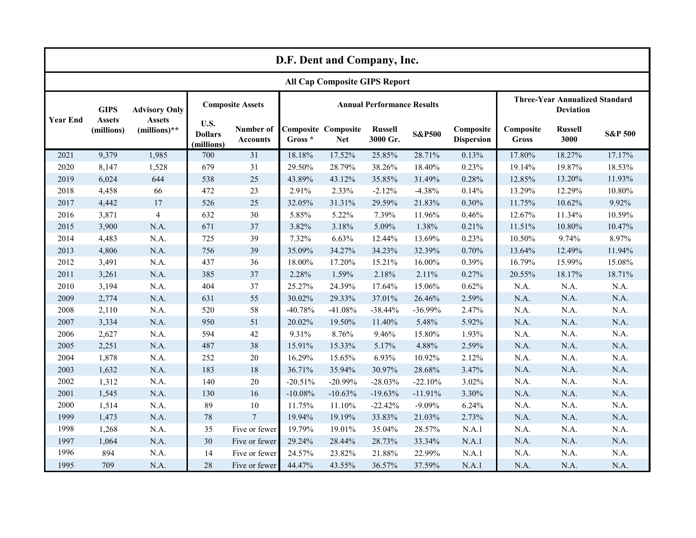| D.F. Dent and Company, Inc.          |                                            |                                                         |                                      |                              |                                   |                                          |                            |                   |                                |                                                           |                        |                    |
|--------------------------------------|--------------------------------------------|---------------------------------------------------------|--------------------------------------|------------------------------|-----------------------------------|------------------------------------------|----------------------------|-------------------|--------------------------------|-----------------------------------------------------------|------------------------|--------------------|
| <b>All Cap Composite GIPS Report</b> |                                            |                                                         |                                      |                              |                                   |                                          |                            |                   |                                |                                                           |                        |                    |
| <b>Year End</b>                      | <b>GIPS</b><br><b>Assets</b><br>(millions) | <b>Advisory Only</b><br><b>Assets</b><br>$(millions)**$ | <b>Composite Assets</b>              |                              | <b>Annual Performance Results</b> |                                          |                            |                   |                                | <b>Three-Year Annualized Standard</b><br><b>Deviation</b> |                        |                    |
|                                      |                                            |                                                         | U.S.<br><b>Dollars</b><br>(millions) | Number of<br><b>Accounts</b> | Gross *                           | <b>Composite Composite</b><br><b>Net</b> | <b>Russell</b><br>3000 Gr. | <b>S&amp;P500</b> | Composite<br><b>Dispersion</b> | Composite<br>Gross                                        | <b>Russell</b><br>3000 | <b>S&amp;P 500</b> |
| 2021                                 | 9,379                                      | 1,985                                                   | 700                                  | 31                           | 18.18%                            | 17.52%                                   | 25.85%                     | 28.71%            | 0.13%                          | 17.80%                                                    | 18.27%                 | 17.17%             |
| 2020                                 | 8,147                                      | 1,528                                                   | 679                                  | 31                           | 29.50%                            | 28.79%                                   | 38.26%                     | 18.40%            | 0.23%                          | 19.14%                                                    | 19.87%                 | 18.53%             |
| 2019                                 | 6,024                                      | 644                                                     | 538                                  | 25                           | 43.89%                            | 43.12%                                   | 35.85%                     | 31.49%            | 0.28%                          | 12.85%                                                    | 13.20%                 | 11.93%             |
| 2018                                 | 4,458                                      | 66                                                      | 472                                  | 23                           | 2.91%                             | 2.33%                                    | $-2.12%$                   | $-4.38%$          | 0.14%                          | 13.29%                                                    | 12.29%                 | $10.80\%$          |
| 2017                                 | 4,442                                      | 17                                                      | 526                                  | 25                           | 32.05%                            | 31.31%                                   | 29.59%                     | 21.83%            | 0.30%                          | 11.75%                                                    | 10.62%                 | 9.92%              |
| 2016                                 | 3,871                                      | $\overline{4}$                                          | 632                                  | 30                           | 5.85%                             | 5.22%                                    | 7.39%                      | 11.96%            | 0.46%                          | 12.67%                                                    | 11.34%                 | 10.59%             |
| 2015                                 | 3,900                                      | N.A.                                                    | 671                                  | 37                           | 3.82%                             | 3.18%                                    | 5.09%                      | 1.38%             | 0.21%                          | 11.51%                                                    | 10.80%                 | 10.47%             |
| 2014                                 | 4,483                                      | N.A.                                                    | 725                                  | 39                           | 7.32%                             | 6.63%                                    | 12.44%                     | 13.69%            | 0.23%                          | 10.50%                                                    | 9.74%                  | 8.97%              |
| 2013                                 | 4,806                                      | N.A.                                                    | 756                                  | 39                           | 35.09%                            | 34.27%                                   | 34.23%                     | 32.39%            | 0.70%                          | 13.64%                                                    | 12.49%                 | 11.94%             |
| 2012                                 | 3,491                                      | N.A.                                                    | 437                                  | 36                           | 18.00%                            | 17.20%                                   | 15.21%                     | 16.00%            | 0.39%                          | 16.79%                                                    | 15.99%                 | 15.08%             |
| 2011                                 | 3,261                                      | N.A.                                                    | 385                                  | 37                           | 2.28%                             | 1.59%                                    | 2.18%                      | 2.11%             | 0.27%                          | 20.55%                                                    | 18.17%                 | 18.71%             |
| 2010                                 | 3,194                                      | N.A.                                                    | 404                                  | 37                           | 25.27%                            | 24.39%                                   | 17.64%                     | 15.06%            | $0.62\%$                       | N.A.                                                      | N.A.                   | N.A.               |
| 2009                                 | 2,774                                      | N.A.                                                    | 631                                  | 55                           | 30.02%                            | 29.33%                                   | 37.01%                     | 26.46%            | 2.59%                          | N.A.                                                      | N.A.                   | N.A.               |
| 2008                                 | 2,110                                      | N.A.                                                    | 520                                  | 58                           | $-40.78%$                         | $-41.08%$                                | $-38.44%$                  | $-36.99%$         | 2.47%                          | N.A.                                                      | N.A.                   | N.A.               |
| 2007                                 | 3,334                                      | N.A.                                                    | 950                                  | 51                           | 20.02%                            | 19.50%                                   | 11.40%                     | 5.48%             | 5.92%                          | N.A.                                                      | N.A.                   | N.A.               |
| 2006                                 | 2,627                                      | N.A.                                                    | 594                                  | 42                           | 9.31%                             | 8.76%                                    | 9.46%                      | 15.80%            | 1.93%                          | N.A.                                                      | N.A.                   | N.A.               |
| 2005                                 | 2,251                                      | N.A.                                                    | 487                                  | 38                           | 15.91%                            | 15.33%                                   | 5.17%                      | 4.88%             | 2.59%                          | N.A.                                                      | N.A.                   | N.A.               |
| 2004                                 | 1,878                                      | N.A.                                                    | 252                                  | 20                           | 16.29%                            | 15.65%                                   | 6.93%                      | 10.92%            | 2.12%                          | N.A.                                                      | N.A.                   | N.A.               |
| 2003                                 | 1,632                                      | N.A.                                                    | 183                                  | 18                           | 36.71%                            | 35.94%                                   | 30.97%                     | 28.68%            | 3.47%                          | N.A.                                                      | N.A.                   | N.A.               |
| 2002                                 | 1,312                                      | N.A.                                                    | 140                                  | 20                           | $-20.51%$                         | $-20.99%$                                | $-28.03%$                  | $-22.10%$         | 3.02%                          | N.A.                                                      | N.A.                   | N.A.               |
| 2001                                 | 1,545                                      | N.A.                                                    | 130                                  | 16                           | $-10.08%$                         | $-10.63%$                                | $-19.63%$                  | $-11.91%$         | 3.30%                          | N.A.                                                      | N.A.                   | N.A.               |
| 2000                                 | 1,514                                      | N.A.                                                    | 89                                   | 10                           | 11.75%                            | 11.10%                                   | $-22.42%$                  | $-9.09%$          | 6.24%                          | N.A.                                                      | N.A.                   | N.A.               |
| 1999                                 | 1,473                                      | N.A.                                                    | $78\,$                               | $\overline{7}$               | 19.94%                            | 19.19%                                   | 33.83%                     | 21.03%            | 2.73%                          | N.A.                                                      | N.A.                   | N.A.               |
| 1998                                 | 1,268                                      | N.A.                                                    | 35                                   | Five or fewer                | 19.79%                            | 19.01%                                   | 35.04%                     | 28.57%            | N.A.1                          | N.A.                                                      | N.A.                   | N.A.               |
| 1997                                 | 1,064                                      | N.A.                                                    | 30                                   | Five or fewer                | 29.24%                            | 28.44%                                   | 28.73%                     | 33.34%            | N.A.1                          | N.A.                                                      | N.A.                   | N.A.               |
| 1996                                 | 894                                        | N.A.                                                    | 14                                   | Five or fewer                | 24.57%                            | 23.82%                                   | 21.88%                     | 22.99%            | N.A.1                          | N.A.                                                      | N.A.                   | N.A.               |
| 1995                                 | 709                                        | N.A.                                                    | 28                                   | Five or fewer                | 44.47%                            | 43.55%                                   | 36.57%                     | 37.59%            | N.A.1                          | N.A.                                                      | N.A.                   | N.A.               |